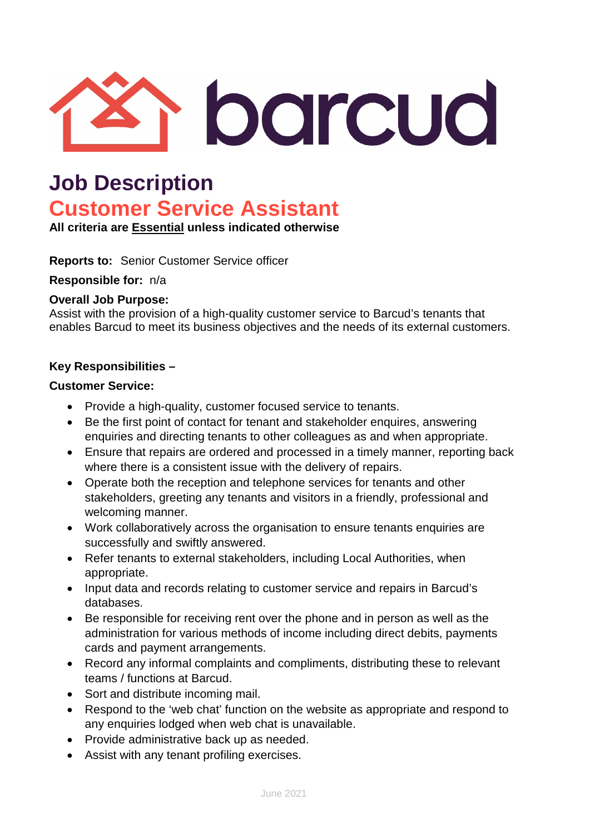

## **Job Description Customer Service Assistant**

**All criteria are Essential unless indicated otherwise**

**Reports to:** Senior Customer Service officer

**Responsible for:** n/a

### **Overall Job Purpose:**

Assist with the provision of a high-quality customer service to Barcud's tenants that enables Barcud to meet its business objectives and the needs of its external customers.

### **Key Responsibilities –**

### **Customer Service:**

- Provide a high-quality, customer focused service to tenants.
- Be the first point of contact for tenant and stakeholder enquires, answering enquiries and directing tenants to other colleagues as and when appropriate.
- Ensure that repairs are ordered and processed in a timely manner, reporting back where there is a consistent issue with the delivery of repairs.
- Operate both the reception and telephone services for tenants and other stakeholders, greeting any tenants and visitors in a friendly, professional and welcoming manner.
- Work collaboratively across the organisation to ensure tenants enquiries are successfully and swiftly answered.
- Refer tenants to external stakeholders, including Local Authorities, when appropriate.
- Input data and records relating to customer service and repairs in Barcud's databases.
- Be responsible for receiving rent over the phone and in person as well as the administration for various methods of income including direct debits, payments cards and payment arrangements.
- Record any informal complaints and compliments, distributing these to relevant teams / functions at Barcud.
- Sort and distribute incoming mail.
- Respond to the 'web chat' function on the website as appropriate and respond to any enquiries lodged when web chat is unavailable.
- Provide administrative back up as needed.
- Assist with any tenant profiling exercises.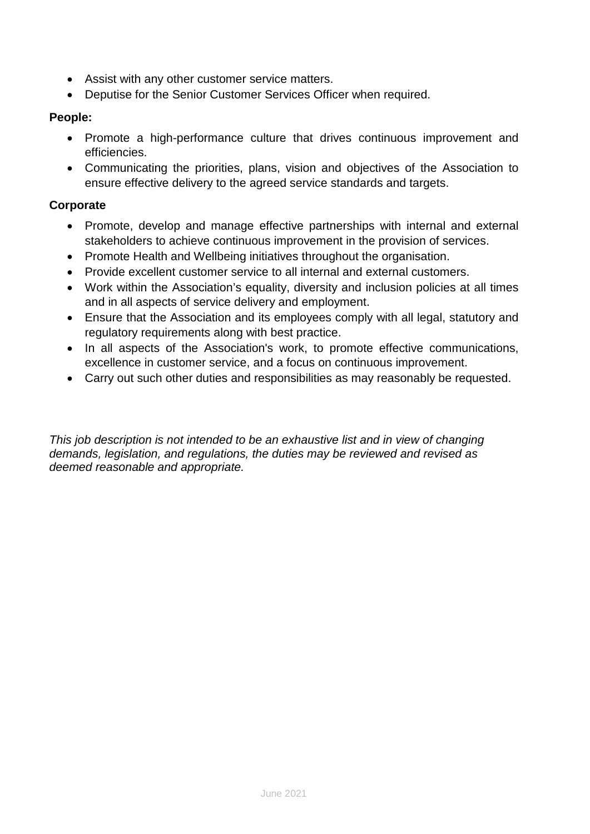- Assist with any other customer service matters.
- Deputise for the Senior Customer Services Officer when required.

### **People:**

- Promote a high-performance culture that drives continuous improvement and efficiencies.
- Communicating the priorities, plans, vision and objectives of the Association to ensure effective delivery to the agreed service standards and targets.

### **Corporate**

- Promote, develop and manage effective partnerships with internal and external stakeholders to achieve continuous improvement in the provision of services.
- Promote Health and Wellbeing initiatives throughout the organisation.
- Provide excellent customer service to all internal and external customers.
- Work within the Association's equality, diversity and inclusion policies at all times and in all aspects of service delivery and employment.
- Ensure that the Association and its employees comply with all legal, statutory and regulatory requirements along with best practice.
- In all aspects of the Association's work, to promote effective communications, excellence in customer service, and a focus on continuous improvement.
- Carry out such other duties and responsibilities as may reasonably be requested.

*This job description is not intended to be an exhaustive list and in view of changing demands, legislation, and regulations, the duties may be reviewed and revised as deemed reasonable and appropriate.*